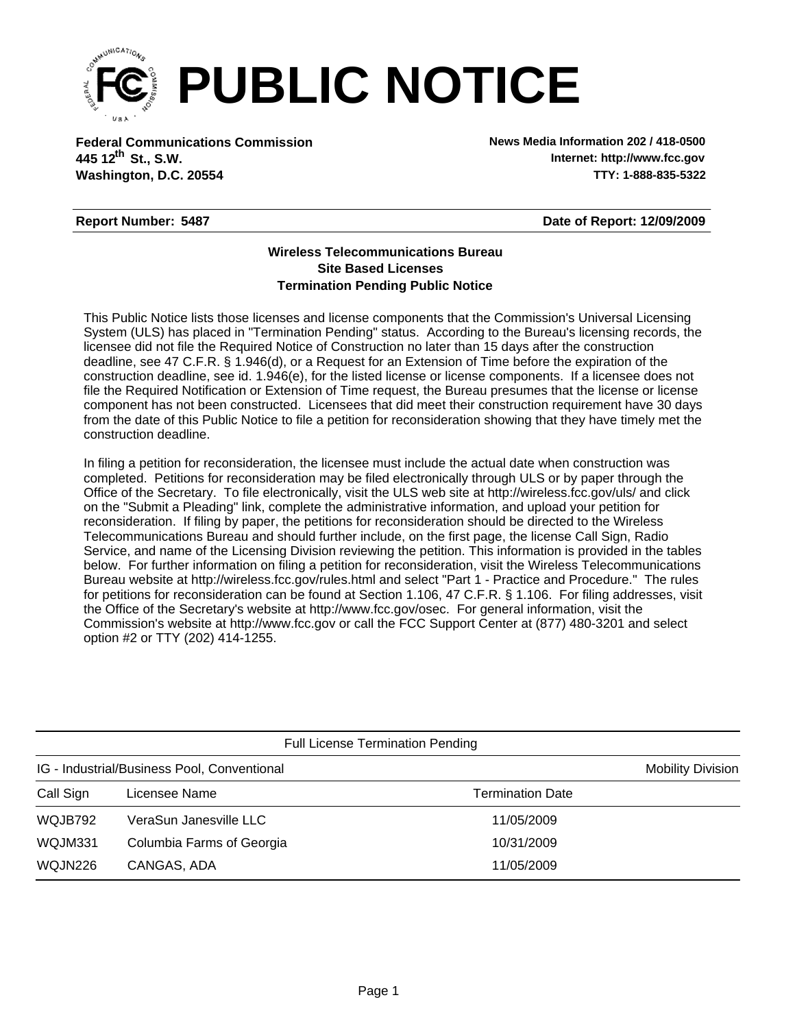

**Federal Communications Commission News Media Information 202 / 418-0500 Washington, D.C. 20554 TTY: 1-888-835-5322 445 12<sup>th</sup> St., S.W.** 

**Internet: http://www.fcc.gov**

## **Report Number: 5487**

**Date of Report: 12/09/2009**

## **Wireless Telecommunications Bureau Site Based Licenses Termination Pending Public Notice**

This Public Notice lists those licenses and license components that the Commission's Universal Licensing System (ULS) has placed in "Termination Pending" status. According to the Bureau's licensing records, the licensee did not file the Required Notice of Construction no later than 15 days after the construction deadline, see 47 C.F.R. § 1.946(d), or a Request for an Extension of Time before the expiration of the construction deadline, see id. 1.946(e), for the listed license or license components. If a licensee does not file the Required Notification or Extension of Time request, the Bureau presumes that the license or license component has not been constructed. Licensees that did meet their construction requirement have 30 days from the date of this Public Notice to file a petition for reconsideration showing that they have timely met the construction deadline.

In filing a petition for reconsideration, the licensee must include the actual date when construction was completed. Petitions for reconsideration may be filed electronically through ULS or by paper through the Office of the Secretary. To file electronically, visit the ULS web site at http://wireless.fcc.gov/uls/ and click on the "Submit a Pleading" link, complete the administrative information, and upload your petition for reconsideration. If filing by paper, the petitions for reconsideration should be directed to the Wireless Telecommunications Bureau and should further include, on the first page, the license Call Sign, Radio Service, and name of the Licensing Division reviewing the petition. This information is provided in the tables below. For further information on filing a petition for reconsideration, visit the Wireless Telecommunications Bureau website at http://wireless.fcc.gov/rules.html and select "Part 1 - Practice and Procedure." The rules for petitions for reconsideration can be found at Section 1.106, 47 C.F.R. § 1.106. For filing addresses, visit the Office of the Secretary's website at http://www.fcc.gov/osec. For general information, visit the Commission's website at http://www.fcc.gov or call the FCC Support Center at (877) 480-3201 and select option #2 or TTY (202) 414-1255.

| <b>Full License Termination Pending</b>     |                           |                         |  |  |  |
|---------------------------------------------|---------------------------|-------------------------|--|--|--|
| IG - Industrial/Business Pool, Conventional | <b>Mobility Division</b>  |                         |  |  |  |
| Call Sign                                   | Licensee Name             | <b>Termination Date</b> |  |  |  |
| WQJB792                                     | VeraSun Janesville LLC    | 11/05/2009              |  |  |  |
| WQJM331                                     | Columbia Farms of Georgia | 10/31/2009              |  |  |  |
| WQJN226                                     | CANGAS, ADA               | 11/05/2009              |  |  |  |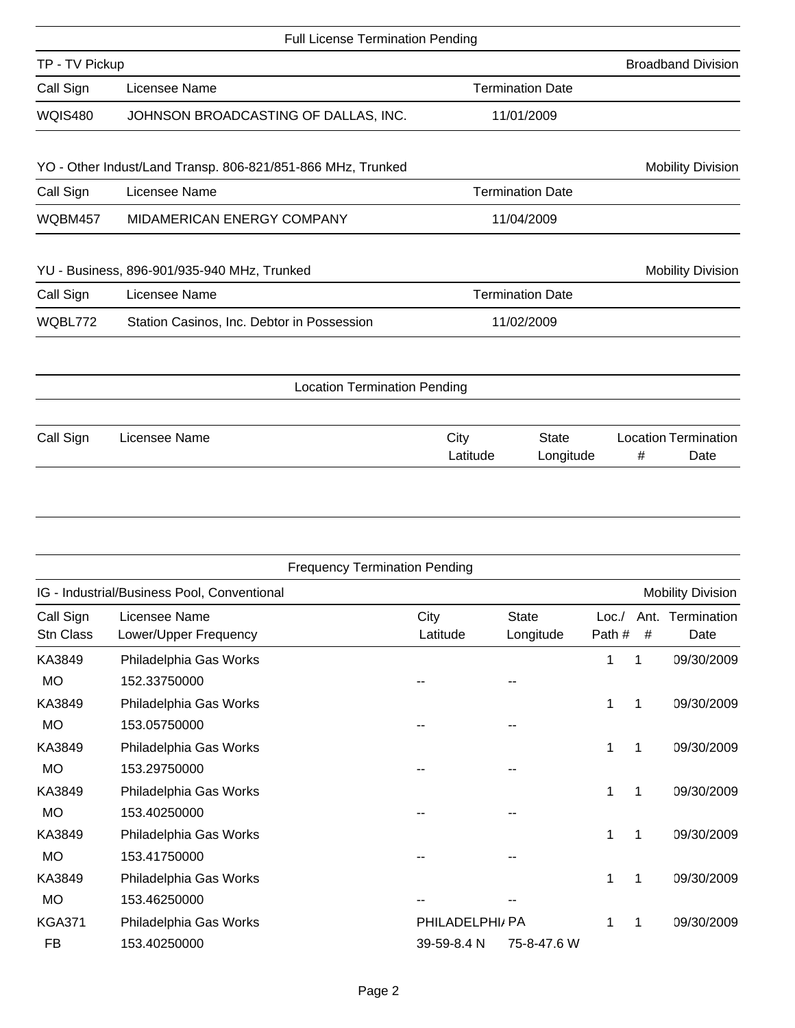|                | <b>Full License Termination Pending</b>                     |                  |                           |   |                                     |
|----------------|-------------------------------------------------------------|------------------|---------------------------|---|-------------------------------------|
| TP - TV Pickup |                                                             |                  |                           |   | <b>Broadband Division</b>           |
| Call Sign      | Licensee Name                                               |                  | <b>Termination Date</b>   |   |                                     |
| <b>WQIS480</b> | JOHNSON BROADCASTING OF DALLAS, INC.                        |                  | 11/01/2009                |   |                                     |
|                | YO - Other Indust/Land Transp. 806-821/851-866 MHz, Trunked |                  |                           |   | <b>Mobility Division</b>            |
| Call Sign      | Licensee Name                                               |                  | <b>Termination Date</b>   |   |                                     |
| <b>WQBM457</b> | MIDAMERICAN ENERGY COMPANY                                  | 11/04/2009       |                           |   |                                     |
|                | YU - Business, 896-901/935-940 MHz, Trunked                 |                  |                           |   | <b>Mobility Division</b>            |
| Call Sign      | Licensee Name                                               |                  | <b>Termination Date</b>   |   |                                     |
| WQBL772        | Station Casinos, Inc. Debtor in Possession                  | 11/02/2009       |                           |   |                                     |
|                | <b>Location Termination Pending</b>                         |                  |                           |   |                                     |
|                |                                                             |                  |                           |   |                                     |
| Call Sign      | Licensee Name                                               | City<br>Latitude | <b>State</b><br>Longitude | # | <b>Location Termination</b><br>Date |

|                        |                                             | <b>Frequency Termination Pending</b> |                           |                |           |                          |
|------------------------|---------------------------------------------|--------------------------------------|---------------------------|----------------|-----------|--------------------------|
|                        | IG - Industrial/Business Pool, Conventional |                                      |                           |                |           | <b>Mobility Division</b> |
| Call Sign<br>Stn Class | Licensee Name<br>Lower/Upper Frequency      | City<br>Latitude                     | <b>State</b><br>Longitude | Loc.<br>Path # | Ant.<br># | Termination<br>Date      |
| KA3849                 | Philadelphia Gas Works                      |                                      |                           | 1              | 1         | 09/30/2009               |
| <b>MO</b>              | 152.33750000                                |                                      |                           |                |           |                          |
| KA3849                 | Philadelphia Gas Works                      |                                      |                           | 1              | 1         | 09/30/2009               |
| <b>MO</b>              | 153.05750000                                |                                      |                           |                |           |                          |
| KA3849                 | Philadelphia Gas Works                      |                                      |                           | 1              | 1         | 09/30/2009               |
| <b>MO</b>              | 153.29750000                                |                                      |                           |                |           |                          |
| KA3849                 | Philadelphia Gas Works                      |                                      |                           | 1              | 1         | 09/30/2009               |
| <b>MO</b>              | 153.40250000                                |                                      |                           |                |           |                          |
| KA3849                 | Philadelphia Gas Works                      |                                      |                           | 1              | 1         | 09/30/2009               |
| <b>MO</b>              | 153.41750000                                |                                      |                           |                |           |                          |
| KA3849                 | Philadelphia Gas Works                      |                                      |                           | 1              | 1         | 09/30/2009               |
| <b>MO</b>              | 153.46250000                                |                                      |                           |                |           |                          |
| <b>KGA371</b>          | Philadelphia Gas Works                      | PHILADELPHI/ PA                      |                           |                | 1         | 09/30/2009               |
| FB                     | 153.40250000                                | 39-59-8.4 N                          | 75-8-47.6 W               |                |           |                          |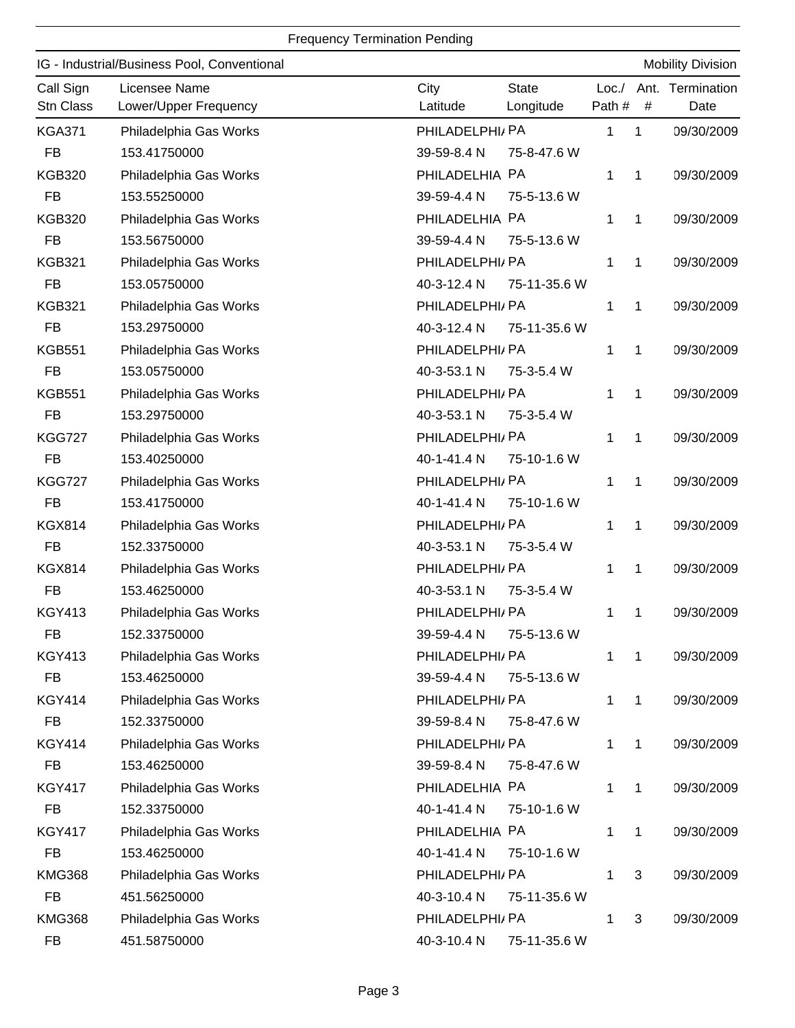## Frequency Termination Pending

|                        | IG - Industrial/Business Pool, Conventional | <b>Mobility Division</b>                                                                              |
|------------------------|---------------------------------------------|-------------------------------------------------------------------------------------------------------|
| Call Sign<br>Stn Class | Licensee Name<br>Lower/Upper Frequency      | City<br><b>State</b><br>Termination<br>Loc. /<br>Ant.<br>Path #<br>Latitude<br>#<br>Longitude<br>Date |
| <b>KGA371</b>          | Philadelphia Gas Works                      | PHILADELPHI/ PA<br>1<br>1<br>09/30/2009                                                               |
| <b>FB</b>              | 153.41750000                                | 39-59-8.4 N<br>75-8-47.6 W                                                                            |
| <b>KGB320</b>          | Philadelphia Gas Works                      | PHILADELHIA PA<br>1<br>1<br>09/30/2009                                                                |
| <b>FB</b>              | 153.55250000                                | 39-59-4.4 N<br>75-5-13.6 W                                                                            |
| <b>KGB320</b>          | Philadelphia Gas Works                      | PHILADELHIA PA<br>1<br>09/30/2009<br>1                                                                |
| <b>FB</b>              | 153.56750000                                | 39-59-4.4 N<br>75-5-13.6 W                                                                            |
| <b>KGB321</b>          | Philadelphia Gas Works                      | PHILADELPHI/ PA<br>1<br>1<br>09/30/2009                                                               |
| <b>FB</b>              | 153.05750000                                | 40-3-12.4 N<br>75-11-35.6 W                                                                           |
| <b>KGB321</b>          | Philadelphia Gas Works                      | PHILADELPHI/ PA<br>1<br>09/30/2009<br>1                                                               |
| <b>FB</b>              | 153.29750000                                | 40-3-12.4 N<br>75-11-35.6 W                                                                           |
| <b>KGB551</b>          | Philadelphia Gas Works                      | PHILADELPHI/ PA<br>09/30/2009<br>1<br>1                                                               |
| <b>FB</b>              | 153.05750000                                | 40-3-53.1 N<br>75-3-5.4 W                                                                             |
| <b>KGB551</b>          | Philadelphia Gas Works                      | PHILADELPHI/ PA<br>1<br>1<br>09/30/2009                                                               |
| <b>FB</b>              | 153.29750000                                | 40-3-53.1 N<br>75-3-5.4 W                                                                             |
| <b>KGG727</b>          | Philadelphia Gas Works                      | PHILADELPHI/ PA<br>1<br>1<br>09/30/2009                                                               |
| <b>FB</b>              | 153.40250000                                | 40-1-41.4 N<br>75-10-1.6 W                                                                            |
| <b>KGG727</b>          | Philadelphia Gas Works                      | PHILADELPHI/ PA<br>1<br>09/30/2009<br>1                                                               |
| <b>FB</b>              | 153.41750000                                | 40-1-41.4 N<br>75-10-1.6 W                                                                            |
| <b>KGX814</b>          | Philadelphia Gas Works                      | PHILADELPHI/ PA<br>1<br>1<br>09/30/2009                                                               |
| <b>FB</b>              | 152.33750000                                | 40-3-53.1 N<br>75-3-5.4 W                                                                             |
| <b>KGX814</b>          | Philadelphia Gas Works                      | PHILADELPHI/ PA<br>1<br>09/30/2009<br>1                                                               |
| <b>FB</b>              | 153.46250000                                | 40-3-53.1 N<br>75-3-5.4 W                                                                             |
| <b>KGY413</b>          | Philadelphia Gas Works                      | PHILADELPHI/ PA<br>1<br>1<br>09/30/2009                                                               |
| <b>FB</b>              | 152.33750000                                | 39-59-4.4 N<br>75-5-13.6 W                                                                            |
| <b>KGY413</b>          | Philadelphia Gas Works                      | PHILADELPHI/ PA<br>1<br>09/30/2009<br>1                                                               |
| <b>FB</b>              | 153.46250000                                | 39-59-4.4 N<br>75-5-13.6 W                                                                            |
| <b>KGY414</b>          | Philadelphia Gas Works                      | PHILADELPHI/ PA<br>1<br>$\mathbf{1}$<br>09/30/2009                                                    |
| <b>FB</b>              | 152.33750000                                | 39-59-8.4 N<br>75-8-47.6 W                                                                            |
| <b>KGY414</b>          | Philadelphia Gas Works                      | PHILADELPHI/ PA<br>1<br>09/30/2009<br>1                                                               |
| FB                     | 153.46250000                                | 39-59-8.4 N<br>75-8-47.6 W                                                                            |
| <b>KGY417</b>          | Philadelphia Gas Works                      | PHILADELHIA PA<br>09/30/2009<br>1<br>1                                                                |
| <b>FB</b>              | 152.33750000                                | 40-1-41.4 N<br>75-10-1.6 W                                                                            |
| <b>KGY417</b>          | Philadelphia Gas Works                      | PHILADELHIA PA<br>1<br>1<br>09/30/2009                                                                |
| <b>FB</b>              | 153.46250000                                | 40-1-41.4 N<br>75-10-1.6 W                                                                            |
| <b>KMG368</b>          | Philadelphia Gas Works                      | PHILADELPHI/ PA<br>3<br>1<br>09/30/2009                                                               |
| <b>FB</b>              | 451.56250000                                | 40-3-10.4 N<br>75-11-35.6 W                                                                           |
| <b>KMG368</b>          | Philadelphia Gas Works                      | PHILADELPHI/PA<br>3<br>09/30/2009<br>1                                                                |
| FB                     | 451.58750000                                | 40-3-10.4 N<br>75-11-35.6 W                                                                           |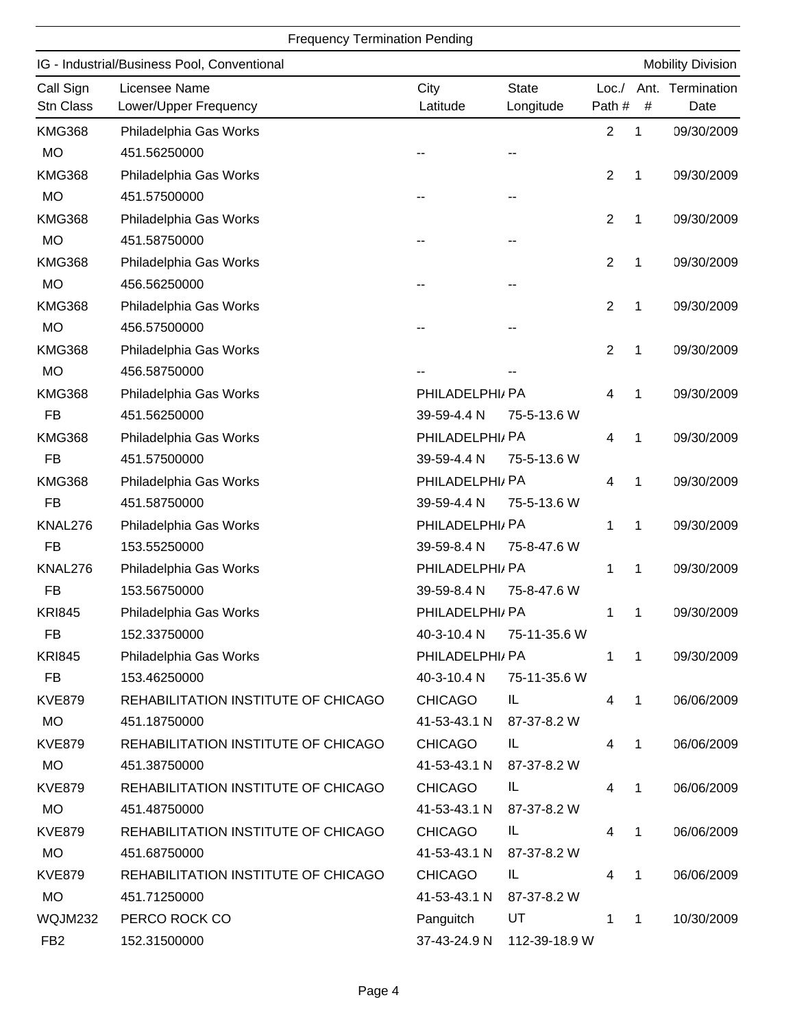## Frequency Termination Pending

|                        | IG - Industrial/Business Pool, Conventional |                  |                           |                 |              | <b>Mobility Division</b> |
|------------------------|---------------------------------------------|------------------|---------------------------|-----------------|--------------|--------------------------|
| Call Sign<br>Stn Class | Licensee Name<br>Lower/Upper Frequency      | City<br>Latitude | <b>State</b><br>Longitude | Loc./<br>Path # | #            | Ant. Termination<br>Date |
| <b>KMG368</b>          | Philadelphia Gas Works                      |                  |                           | $\overline{2}$  | 1            | 09/30/2009               |
| <b>MO</b>              | 451.56250000                                |                  |                           |                 |              |                          |
| <b>KMG368</b>          | Philadelphia Gas Works                      |                  |                           | $\overline{2}$  | 1            | 09/30/2009               |
| <b>MO</b>              | 451.57500000                                |                  |                           |                 |              |                          |
| <b>KMG368</b>          | Philadelphia Gas Works                      |                  |                           | $\overline{2}$  | 1            | 09/30/2009               |
| <b>MO</b>              | 451.58750000                                |                  |                           |                 |              |                          |
| <b>KMG368</b>          | Philadelphia Gas Works                      |                  |                           | $\overline{2}$  | 1            | 09/30/2009               |
| <b>MO</b>              | 456.56250000                                |                  |                           |                 |              |                          |
| <b>KMG368</b>          | Philadelphia Gas Works                      |                  |                           | $\overline{2}$  | 1            | 09/30/2009               |
| <b>MO</b>              | 456.57500000                                |                  |                           |                 |              |                          |
| <b>KMG368</b>          | Philadelphia Gas Works                      |                  |                           | 2               | 1            | 09/30/2009               |
| <b>MO</b>              | 456.58750000                                |                  |                           |                 |              |                          |
| <b>KMG368</b>          | Philadelphia Gas Works                      | PHILADELPHI/ PA  |                           | 4               | 1            | 09/30/2009               |
| <b>FB</b>              | 451.56250000                                | 39-59-4.4 N      | 75-5-13.6 W               |                 |              |                          |
| <b>KMG368</b>          | Philadelphia Gas Works                      | PHILADELPHI/PA   |                           | 4               | 1            | 09/30/2009               |
| <b>FB</b>              | 451.57500000                                | 39-59-4.4 N      | 75-5-13.6 W               |                 |              |                          |
| <b>KMG368</b>          | Philadelphia Gas Works                      | PHILADELPHI/ PA  |                           | 4               | 1            | 09/30/2009               |
| <b>FB</b>              | 451.58750000                                | 39-59-4.4 N      | 75-5-13.6 W               |                 |              |                          |
| KNAL276                | Philadelphia Gas Works                      | PHILADELPHI/ PA  |                           | 1               | 1            | 09/30/2009               |
| <b>FB</b>              | 153.55250000                                | 39-59-8.4 N      | 75-8-47.6 W               |                 |              |                          |
| KNAL276                | Philadelphia Gas Works                      | PHILADELPHI/ PA  |                           | 1               | 1            | 09/30/2009               |
| <b>FB</b>              | 153.56750000                                | 39-59-8.4 N      | 75-8-47.6 W               |                 |              |                          |
| <b>KRI845</b>          | Philadelphia Gas Works                      | PHILADELPHI/ PA  |                           | 1               | 1            | 09/30/2009               |
| <b>FB</b>              | 152.33750000                                | 40-3-10.4 N      | 75-11-35.6 W              |                 |              |                          |
| <b>KRI845</b>          | Philadelphia Gas Works                      | PHILADELPHI/ PA  |                           | 1               | $\mathbf 1$  | 09/30/2009               |
| <b>FB</b>              | 153.46250000                                | 40-3-10.4 N      | 75-11-35.6 W              |                 |              |                          |
| <b>KVE879</b>          | REHABILITATION INSTITUTE OF CHICAGO         | <b>CHICAGO</b>   | IL                        | 4               | $\mathbf 1$  | 06/06/2009               |
| <b>MO</b>              | 451.18750000                                | 41-53-43.1 N     | 87-37-8.2 W               |                 |              |                          |
| <b>KVE879</b>          | REHABILITATION INSTITUTE OF CHICAGO         | <b>CHICAGO</b>   | IL.                       | 4               | $\mathbf{1}$ | 06/06/2009               |
| <b>MO</b>              | 451.38750000                                | 41-53-43.1 N     | 87-37-8.2 W               |                 |              |                          |
| <b>KVE879</b>          | REHABILITATION INSTITUTE OF CHICAGO         | <b>CHICAGO</b>   | IL                        | 4               | 1            | 06/06/2009               |
| <b>MO</b>              | 451.48750000                                | 41-53-43.1 N     | 87-37-8.2 W               |                 |              |                          |
| <b>KVE879</b>          | REHABILITATION INSTITUTE OF CHICAGO         | <b>CHICAGO</b>   | IL.                       | 4               | 1            | 06/06/2009               |
| <b>MO</b>              | 451.68750000                                | 41-53-43.1 N     | 87-37-8.2 W               |                 |              |                          |
| <b>KVE879</b>          | REHABILITATION INSTITUTE OF CHICAGO         | <b>CHICAGO</b>   | IL.                       | 4               | $\mathbf{1}$ | 06/06/2009               |
| <b>MO</b>              | 451.71250000                                | 41-53-43.1 N     | 87-37-8.2 W               |                 |              |                          |
| WQJM232                | PERCO ROCK CO                               | Panguitch        | UT                        | 1               | 1            | 10/30/2009               |
| FB <sub>2</sub>        | 152.31500000                                | 37-43-24.9 N     | 112-39-18.9 W             |                 |              |                          |